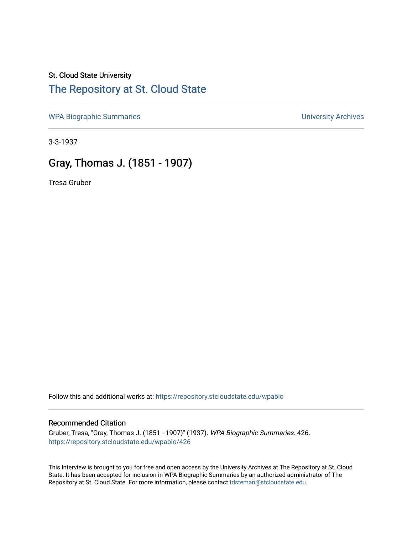## St. Cloud State University

#### [The Repository at St. Cloud State](https://repository.stcloudstate.edu/)

[WPA Biographic Summaries](https://repository.stcloudstate.edu/wpabio) **WPA Biographic Summaries University Archives** 

3-3-1937

### Gray, Thomas J. (1851 - 1907)

Tresa Gruber

Follow this and additional works at: [https://repository.stcloudstate.edu/wpabio](https://repository.stcloudstate.edu/wpabio?utm_source=repository.stcloudstate.edu%2Fwpabio%2F426&utm_medium=PDF&utm_campaign=PDFCoverPages) 

#### Recommended Citation

Gruber, Tresa, "Gray, Thomas J. (1851 - 1907)" (1937). WPA Biographic Summaries. 426. [https://repository.stcloudstate.edu/wpabio/426](https://repository.stcloudstate.edu/wpabio/426?utm_source=repository.stcloudstate.edu%2Fwpabio%2F426&utm_medium=PDF&utm_campaign=PDFCoverPages) 

This Interview is brought to you for free and open access by the University Archives at The Repository at St. Cloud State. It has been accepted for inclusion in WPA Biographic Summaries by an authorized administrator of The Repository at St. Cloud State. For more information, please contact [tdsteman@stcloudstate.edu.](mailto:tdsteman@stcloudstate.edu)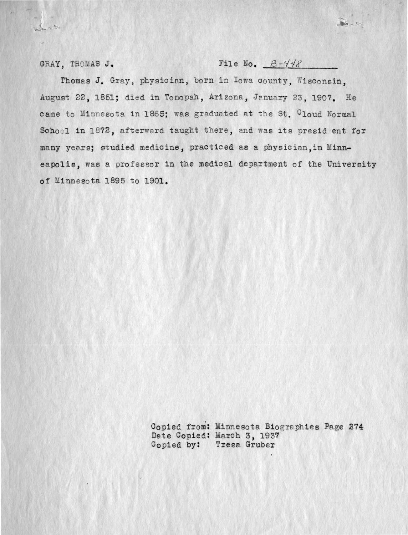GRAY, THOMAS J. File No.  $B - \frac{1}{48}$ 

 $-54 - 54$ 

Thomas J. Gray, physician, born in Iowa county, Wisconsin. August 22, 1851; died in Tonopah, Arizona, January 23, 1907. He came to Minnesota in 1865; was graduated at the St. Cloud Normal School in 1872, afterward taught there, and was its president for many years; studied medicine, practiced as a physician. in Minneapolis, was a professor in the medical department of the University of Minnesota 1895 to 1901.

> Copied from: Minnesota Biographies Page 274 Date Copied: March 3, 1937 Copied by: Tresa Gruber